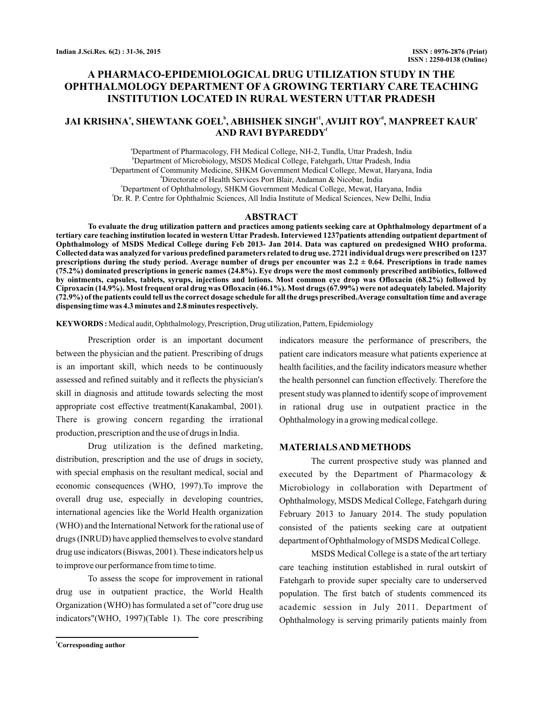# **A PHARMACO-EPIDEMIOLOGICAL DRUG UTILIZATION STUDY IN THE OPHTHALMOLOGY DEPARTMENT OF A GROWING TERTIARY CARE TEACHING INSTITUTION LOCATED IN RURAL WESTERN UTTAR PRADESH**

## **JAI KRISHNA , SHEWTANK GOEL , ABHISHEK SINGH , AVIJIT ROY , MANPREET KAUR a b c1 d e AND RAVI BYPAREDDY f**

a Department of Pharmacology, FH Medical College, NH-2, Tundla, Uttar Pradesh, India b Department of Microbiology, MSDS Medical College, Fatehgarh, Uttar Pradesh, India c Department of Community Medicine, SHKM Government Medical College, Mewat, Haryana, India d Directorate of Health Services Port Blair, Andaman & Nicobar, India e Department of Ophthalmology, SHKM Government Medical College, Mewat, Haryana, India f Dr. R. P. Centre for Ophthalmic Sciences, All India Institute of Medical Sciences, New Delhi, India

#### **ABSTRACT**

**To evaluate the drug utilization pattern and practices among patients seeking care at Ophthalmology department of a tertiary care teaching institution located in western Uttar Pradesh. Interviewed 1237patients attending outpatient department of Ophthalmology of MSDS Medical College during Feb 2013- Jan 2014. Data was captured on predesigned WHO proforma. Collected data was analyzed for various predefined parameters related to drug use. 2721 individual drugs were prescribed on 1237 prescriptions during the study period. Average number of drugs per encounter was 2.2 ± 0.64. Prescriptions in trade names (75.2%) dominated prescriptions in generic names (24.8%). Eye drops were the most commonly prescribed antibiotics, followed by ointments, capsules, tablets, syrups, injections and lotions. Most common eye drop was Ofloxacin (68.2%) followed by Ciproxacin (14.9%). Most frequent oral drug was Ofloxacin (46.1%). Most drugs (67.99%) were not adequately labeled. Majority (72.9%) of the patients could tell us the correct dosage schedule for all the drugs prescribed.Average consultation time and average dispensing time was 4.3 minutes and 2.8 minutes respectively.**

Medical audit, Ophthalmology, Prescription, Drug utilization, Pattern, Epidemiology **KEYWORDS :**

Prescription order is an important document between the physician and the patient. Prescribing of drugs is an important skill, which needs to be continuously assessed and refined suitably and it reflects the physician's skill in diagnosis and attitude towards selecting the most appropriate cost effective treatment(Kanakambal, 2001). There is growing concern regarding the irrational production, prescription and the use of drugs in India.

Drug utilization is the defined marketing, distribution, prescription and the use of drugs in society, with special emphasis on the resultant medical, social and economic consequences (WHO, 1997).To improve the overall drug use, especially in developing countries, international agencies like the World Health organization (WHO) and the International Network for the rational use of drugs (INRUD) have applied themselves to evolve standard drug use indicators (Biswas, 2001). These indicators help us to improve our performance from time to time.

To assess the scope for improvement in rational drug use in outpatient practice, the World Health Organization (WHO) has formulated a set of "core drug use indicators"(WHO, 1997)(Table 1). The core prescribing indicators measure the performance of prescribers, the patient care indicators measure what patients experience at health facilities, and the facility indicators measure whether the health personnel can function effectively. Therefore the present study was planned to identify scope of improvement in rational drug use in outpatient practice in the Ophthalmology in a growing medical college.

#### **MATERIALSANDMETHODS**

The current prospective study was planned and executed by the Department of Pharmacology & Microbiology in collaboration with Department of Ophthalmology, MSDS Medical College, Fatehgarh during February 2013 to January 2014. The study population consisted of the patients seeking care at outpatient department of Ophthalmology of MSDS Medical College.

MSDS Medical College is a state of the art tertiary care teaching institution established in rural outskirt of Fatehgarh to provide super specialty care to underserved population. The first batch of students commenced its academic session in July 2011. Department of Ophthalmology is serving primarily patients mainly from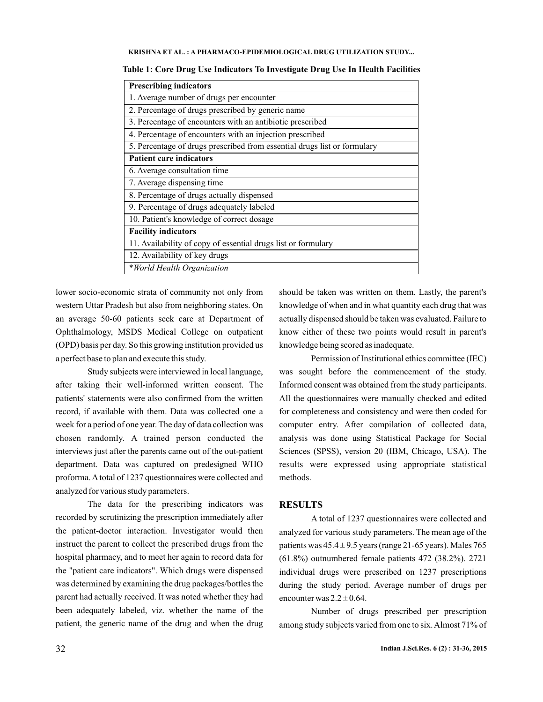#### **KRISHNA ET AL. A PHARMACO-EPIDEMIOLOGICAL DRUG UTILIZATION STUDY... :**

| <b>Prescribing indicators</b>                                            |
|--------------------------------------------------------------------------|
| 1. Average number of drugs per encounter                                 |
| 2. Percentage of drugs prescribed by generic name                        |
| 3. Percentage of encounters with an antibiotic prescribed                |
| 4. Percentage of encounters with an injection prescribed                 |
| 5. Percentage of drugs prescribed from essential drugs list or formulary |
| <b>Patient care indicators</b>                                           |
| 6. Average consultation time                                             |
| 7. Average dispensing time                                               |
| 8. Percentage of drugs actually dispensed                                |
| 9. Percentage of drugs adequately labeled                                |
| 10. Patient's knowledge of correct dosage                                |
| <b>Facility indicators</b>                                               |
| 11. Availability of copy of essential drugs list or formulary            |
| 12. Availability of key drugs                                            |
| *World Health Organization                                               |
|                                                                          |

**Table 1: Core Drug Use Indicators To Investigate Drug Use In Health Facilities**

lower socio-economic strata of community not only from western Uttar Pradesh but also from neighboring states. On an average 50-60 patients seek care at Department of Ophthalmology, MSDS Medical College on outpatient (OPD) basis per day. So this growing institution provided us a perfect base to plan and execute this study.

Study subjects were interviewed in local language, after taking their well-informed written consent. The patients' statements were also confirmed from the written record, if available with them. Data was collected one a week for a period of one year. The day of data collection was chosen randomly. A trained person conducted the interviews just after the parents came out of the out-patient department. Data was captured on predesigned WHO proforma. Atotal of 1237 questionnaires were collected and analyzed for various study parameters.

The data for the prescribing indicators was recorded by scrutinizing the prescription immediately after the patient-doctor interaction. Investigator would then instruct the parent to collect the prescribed drugs from the hospital pharmacy, and to meet her again to record data for the "patient care indicators". Which drugs were dispensed was determined by examining the drug packages/bottles the parent had actually received. It was noted whether they had been adequately labeled, viz. whether the name of the patient, the generic name of the drug and when the drug

should be taken was written on them. Lastly, the parent's knowledge of when and in what quantity each drug that was actually dispensed should be taken was evaluated. Failure to know either of these two points would result in parent's knowledge being scored as inadequate.

Permission of Institutional ethics committee (IEC) was sought before the commencement of the study. Informed consent was obtained from the study participants. All the questionnaires were manually checked and edited for completeness and consistency and were then coded for computer entry. After compilation of collected data, analysis was done using Statistical Package for Social Sciences (SPSS), version 20 (IBM, Chicago, USA). The results were expressed using appropriate statistical methods.

### **RESULTS**

A total of 1237 questionnaires were collected and analyzed for various study parameters. The mean age of the patients was  $45.4 \pm 9.5$  years (range 21-65 years). Males 765 (61.8%) outnumbered female patients 472 (38.2%). 2721 individual drugs were prescribed on 1237 prescriptions during the study period. Average number of drugs per encounter was  $2.2 \pm 0.64$ .

Number of drugs prescribed per prescription among study subjects varied from one to six.Almost 71% of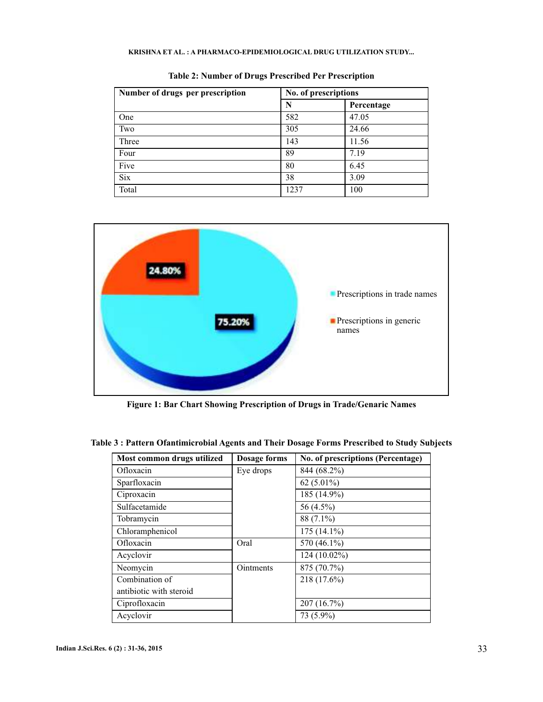## **KRISHNA ET AL. A PHARMACO-EPIDEMIOLOGICAL DRUG UTILIZATION STUDY... :**

| Number of drugs per prescription | No. of prescriptions |            |
|----------------------------------|----------------------|------------|
|                                  | N                    | Percentage |
| One                              | 582                  | 47.05      |
| Two                              | 305                  | 24.66      |
| Three                            | 143                  | 11.56      |
| Four                             | 89                   | 7.19       |
| Five                             | 80                   | 6.45       |
| <b>Six</b>                       | 38                   | 3.09       |
| Total                            | 1237                 | 100        |

**Table 2: Number of Drugs Prescribed Per Prescription**



**Figure 1: Bar Chart Showing Prescription of Drugs in Trade/Genaric Names**

| Most common drugs utilized | Dosage forms | No. of prescriptions (Percentage) |
|----------------------------|--------------|-----------------------------------|
| Ofloxacin                  | Eye drops    | 844 (68.2%)                       |
| Sparfloxacin               |              | 62 $(5.01\%)$                     |
| Ciproxacin                 |              | 185 (14.9%)                       |
| Sulfacetamide              |              | 56 (4.5%)                         |
| Tobramycin                 |              | 88 (7.1%)                         |
| Chloramphenicol            |              | $175(14.1\%)$                     |
| Ofloxacin                  | Oral         | 570 (46.1%)                       |
| Acyclovir                  |              | 124 (10.02%)                      |
| Neomycin                   | Ointments    | 875 (70.7%)                       |
| Combination of             |              | 218 (17.6%)                       |
| antibiotic with steroid    |              |                                   |
| Ciprofloxacin              |              | 207 (16.7%)                       |
| Acyclovir                  |              | 73 (5.9%)                         |

**Table 3 : Pattern Ofantimicrobial Agents and Their Dosage Forms Prescribed to Study Subjects**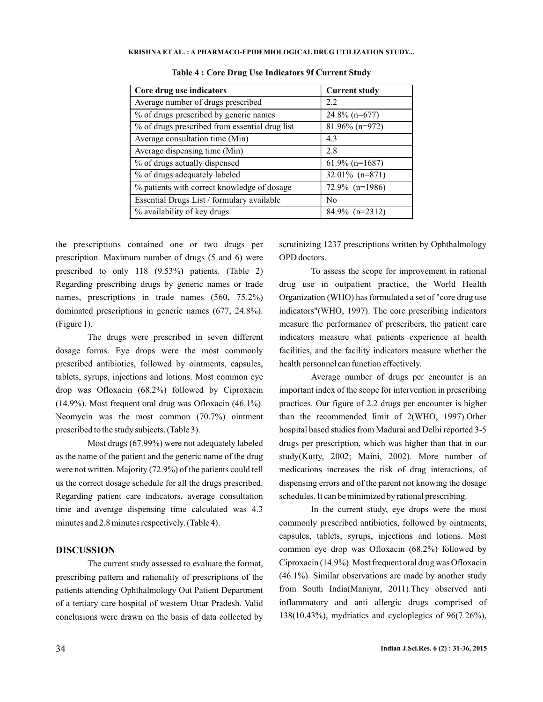| Core drug use indicators                       | <b>Current study</b> |
|------------------------------------------------|----------------------|
| Average number of drugs prescribed             | 2.2                  |
| % of drugs prescribed by generic names         | $24.8\%$ (n=677)     |
| % of drugs prescribed from essential drug list | $81.96\%$ (n=972)    |
| Average consultation time (Min)                | 4.3                  |
| Average dispensing time (Min)                  | 2.8                  |
| % of drugs actually dispensed                  | $61.9\%$ (n=1687)    |
| % of drugs adequately labeled                  | $32.01\%$ (n=871)    |
| % patients with correct knowledge of dosage    | $72.9\%$ (n=1986)    |
| Essential Drugs List / formulary available     | N <sub>0</sub>       |
| % availability of key drugs                    | $84.9\%$ (n=2312)    |

**Table 4 : Core Drug Use Indicators 9f Current Study**

the prescriptions contained one or two drugs per prescription. Maximum number of drugs (5 and 6) were prescribed to only 118 (9.53%) patients. (Table 2) Regarding prescribing drugs by generic names or trade names, prescriptions in trade names (560, 75.2%) dominated prescriptions in generic names (677, 24.8%). (Figure 1).

The drugs were prescribed in seven different dosage forms. Eye drops were the most commonly prescribed antibiotics, followed by ointments, capsules, tablets, syrups, injections and lotions. Most common eye drop was Ofloxacin (68.2%) followed by Ciproxacin (14.9%). Most frequent oral drug was Ofloxacin (46.1%). Neomycin was the most common (70.7%) ointment prescribed to the study subjects. (Table 3).

Most drugs (67.99%) were not adequately labeled as the name of the patient and the generic name of the drug were not written. Majority (72.9%) of the patients could tell us the correct dosage schedule for all the drugs prescribed. Regarding patient care indicators, average consultation time and average dispensing time calculated was 4.3 minutes and 2.8 minutes respectively. (Table 4).

## **DISCUSSION**

The current study assessed to evaluate the format, prescribing pattern and rationality of prescriptions of the patients attending Ophthalmology Out Patient Department of a tertiary care hospital of western Uttar Pradesh. Valid conclusions were drawn on the basis of data collected by scrutinizing 1237 prescriptions written by Ophthalmology OPD doctors.

To assess the scope for improvement in rational drug use in outpatient practice, the World Health Organization (WHO) has formulated a set of "core drug use indicators"(WHO, 1997). The core prescribing indicators measure the performance of prescribers, the patient care indicators measure what patients experience at health facilities, and the facility indicators measure whether the health personnel can function effectively.

Average number of drugs per encounter is an important index of the scope for intervention in prescribing practices. Our figure of 2.2 drugs per encounter is higher than the recommended limit of 2(WHO, 1997).Other hospital based studies from Madurai and Delhi reported 3-5 drugs per prescription, which was higher than that in our study(Kutty, 2002; Maini, 2002). More number of medications increases the risk of drug interactions, of dispensing errors and of the parent not knowing the dosage schedules. It can be minimized by rational prescribing.

In the current study, eye drops were the most commonly prescribed antibiotics, followed by ointments, capsules, tablets, syrups, injections and lotions. Most common eye drop was Ofloxacin (68.2%) followed by Ciproxacin (14.9%). Most frequent oral drug was Ofloxacin (46.1%). Similar observations are made by another study from South India(Maniyar, 2011).They observed anti inflammatory and anti allergic drugs comprised of 138(10.43%), mydriatics and cycloplegics of 96(7.26%),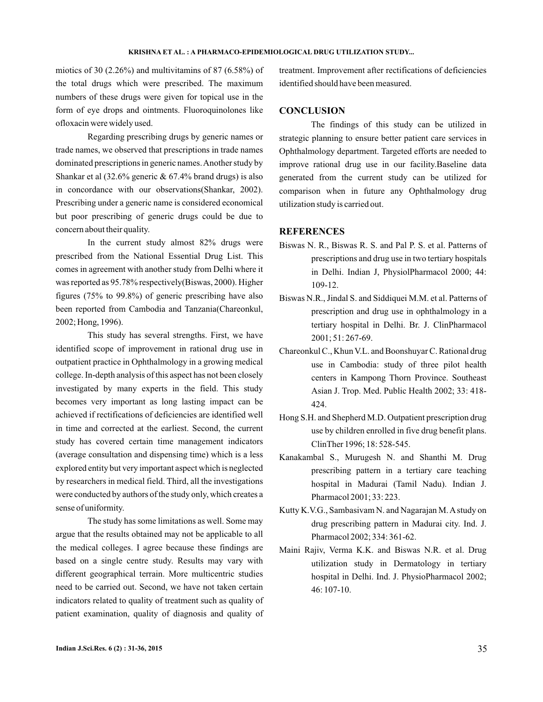miotics of 30  $(2.26\%)$  and multivitamins of 87  $(6.58\%)$  of the total drugs which were prescribed. The maximum numbers of these drugs were given for topical use in the form of eye drops and ointments. Fluoroquinolones like ofloxacin were widely used.

Regarding prescribing drugs by generic names or trade names, we observed that prescriptions in trade names dominated prescriptions in generic names.Another study by Shankar et al (32.6% generic & 67.4% brand drugs) is also in concordance with our observations(Shankar, 2002). Prescribing under a generic name is considered economical but poor prescribing of generic drugs could be due to concern about their quality.

In the current study almost 82% drugs were prescribed from the National Essential Drug List. This comes in agreement with another study from Delhi where it was reported as 95.78% respectively(Biswas, 2000). Higher figures (75% to 99.8%) of generic prescribing have also been reported from Cambodia and Tanzania(Chareonkul, 2002; Hong, 1996).

This study has several strengths. First, we have identified scope of improvement in rational drug use in outpatient practice in Ophthalmology in a growing medical college. In-depth analysis of this aspect has not been closely investigated by many experts in the field. This study becomes very important as long lasting impact can be achieved if rectifications of deficiencies are identified well in time and corrected at the earliest. Second, the current study has covered certain time management indicators (average consultation and dispensing time) which is a less explored entity but very important aspect which is neglected by researchers in medical field. Third, all the investigations were conducted by authors of the study only, which creates a sense of uniformity.

The study has some limitations as well. Some may argue that the results obtained may not be applicable to all the medical colleges. I agree because these findings are based on a single centre study. Results may vary with different geographical terrain. More multicentric studies need to be carried out. Second, we have not taken certain indicators related to quality of treatment such as quality of patient examination, quality of diagnosis and quality of treatment. Improvement after rectifications of deficiencies identified should have been measured.

## **CONCLUSION**

The findings of this study can be utilized in strategic planning to ensure better patient care services in Ophthalmology department. Targeted efforts are needed to improve rational drug use in our facility.Baseline data generated from the current study can be utilized for comparison when in future any Ophthalmology drug utilization study is carried out.

#### **REFERENCES**

- Biswas N. R., Biswas R. S. and Pal P. S. et al. Patterns of prescriptions and drug use in two tertiary hospitals in Delhi. Indian J, PhysiolPharmacol 2000; 44: 109-12.
- Biswas N.R., Jindal S. and Siddiquei M.M. et al. Patterns of prescription and drug use in ophthalmology in a tertiary hospital in Delhi. Br. J. ClinPharmacol 2001; 51: 267-69.
- Chareonkul C., Khun V.L. and Boonshuyar C. Rational drug use in Cambodia: study of three pilot health centers in Kampong Thorn Province. Southeast Asian J. Trop. Med. Public Health 2002; 33: 418- 424.
- Hong S.H. and Shepherd M.D. Outpatient prescription drug use by children enrolled in five drug benefit plans. ClinTher 1996; 18: 528-545.
- Kanakambal S., Murugesh N. and Shanthi M. Drug prescribing pattern in a tertiary care teaching hospital in Madurai (Tamil Nadu). Indian J. Pharmacol 2001; 33: 223.
- Kutty K.V.G., Sambasivam N. and Nagarajan M.A study on drug prescribing pattern in Madurai city. Ind. J. Pharmacol 2002; 334: 361-62.
- Maini Rajiv, Verma K.K. and Biswas N.R. et al. Drug utilization study in Dermatology in tertiary hospital in Delhi. Ind. J. PhysioPharmacol 2002; 46: 107-10.